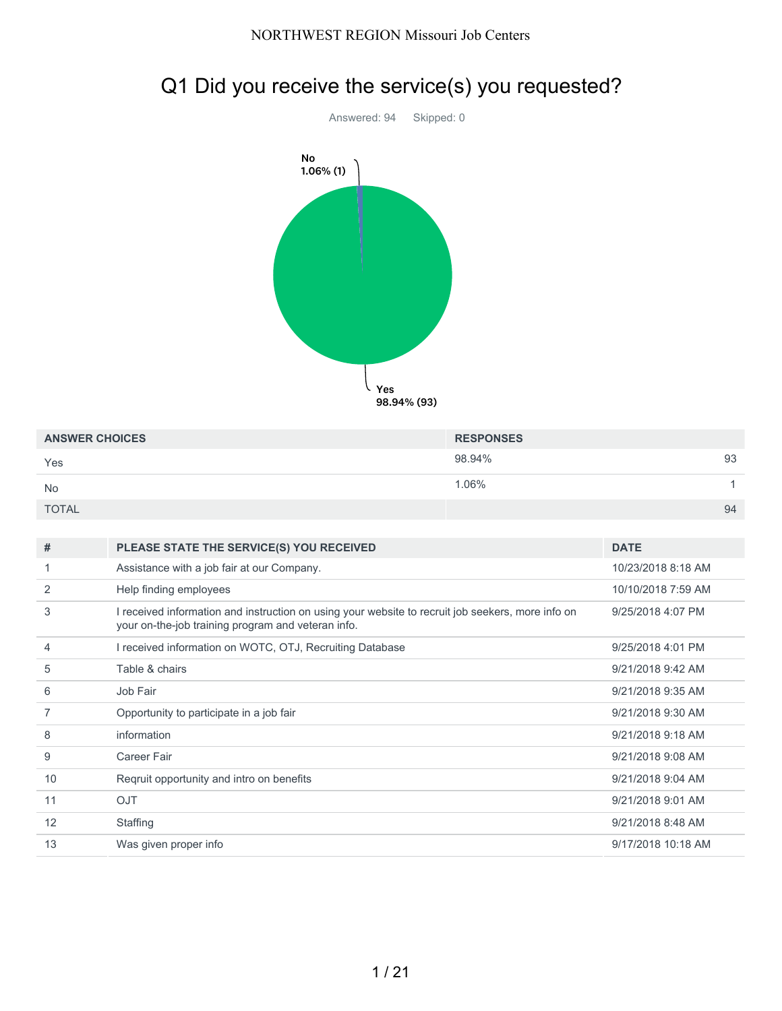

|  |  |  |  |  | Q1 Did you receive the service(s) you requested? |
|--|--|--|--|--|--------------------------------------------------|
|--|--|--|--|--|--------------------------------------------------|

| <b>ANSWER CHOICES</b> | <b>RESPONSES</b> |    |
|-----------------------|------------------|----|
| Yes                   | 98.94%           | 93 |
| <b>No</b>             | 1.06%            |    |
| <b>TOTAL</b>          |                  | 94 |

| #  | PLEASE STATE THE SERVICE(S) YOU RECEIVED                                                                                                                | <b>DATE</b>        |
|----|---------------------------------------------------------------------------------------------------------------------------------------------------------|--------------------|
|    | Assistance with a job fair at our Company.                                                                                                              | 10/23/2018 8:18 AM |
| 2  | Help finding employees                                                                                                                                  | 10/10/2018 7:59 AM |
| 3  | I received information and instruction on using your website to recruit job seekers, more info on<br>your on-the-job training program and veteran info. | 9/25/2018 4:07 PM  |
| 4  | I received information on WOTC, OTJ, Recruiting Database                                                                                                | 9/25/2018 4:01 PM  |
| 5  | Table & chairs                                                                                                                                          | 9/21/2018 9:42 AM  |
| 6  | Job Fair                                                                                                                                                | 9/21/2018 9:35 AM  |
|    | Opportunity to participate in a job fair                                                                                                                | 9/21/2018 9:30 AM  |
| 8  | information                                                                                                                                             | 9/21/2018 9:18 AM  |
| 9  | Career Fair                                                                                                                                             | 9/21/2018 9:08 AM  |
| 10 | Regruit opportunity and intro on benefits                                                                                                               | 9/21/2018 9:04 AM  |
| 11 | <b>OJT</b>                                                                                                                                              | 9/21/2018 9:01 AM  |
| 12 | Staffing                                                                                                                                                | 9/21/2018 8:48 AM  |
| 13 | Was given proper info                                                                                                                                   | 9/17/2018 10:18 AM |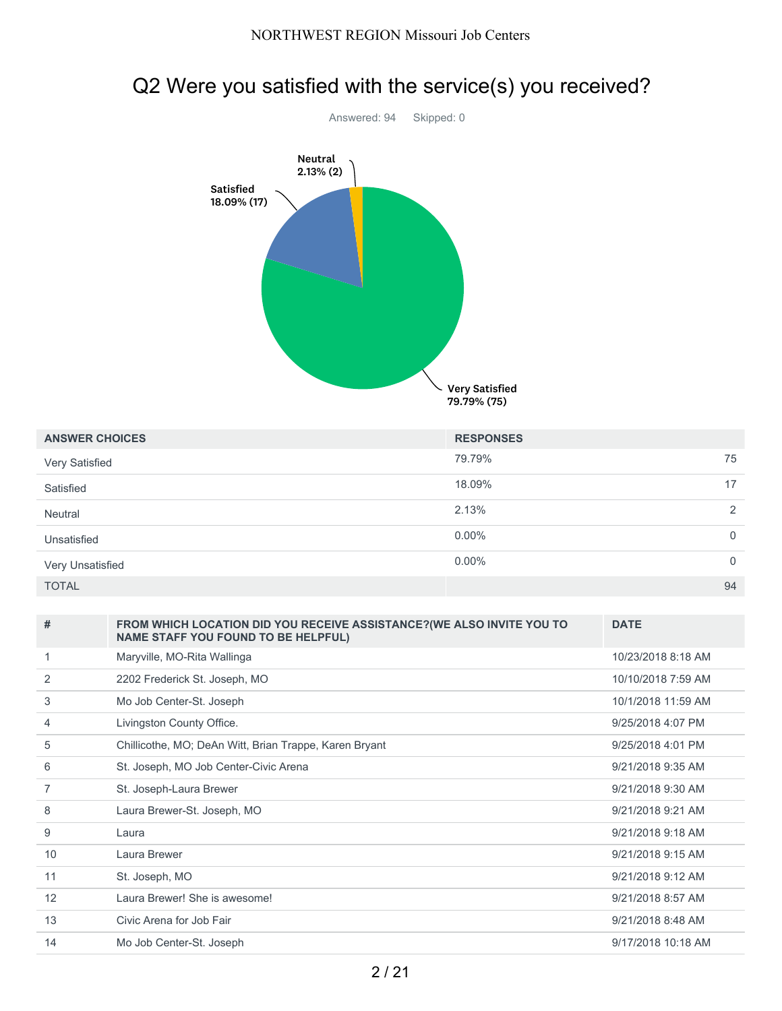

| <b>ANSWER CHOICES</b> | <b>RESPONSES</b> |                |
|-----------------------|------------------|----------------|
| Very Satisfied        | 79.79%           | 75             |
| Satisfied             | 18.09%           | 17             |
| Neutral               | 2.13%            | 2              |
| Unsatisfied           | $0.00\%$         | $\overline{0}$ |
| Very Unsatisfied      | $0.00\%$         | $\mathbf 0$    |
| <b>TOTAL</b>          |                  | 94             |

| #              | FROM WHICH LOCATION DID YOU RECEIVE ASSISTANCE? (WE ALSO INVITE YOU TO<br><b>NAME STAFF YOU FOUND TO BE HELPFUL)</b> | <b>DATE</b>        |
|----------------|----------------------------------------------------------------------------------------------------------------------|--------------------|
| 1              | Maryville, MO-Rita Wallinga                                                                                          | 10/23/2018 8:18 AM |
| 2              | 2202 Frederick St. Joseph, MO                                                                                        | 10/10/2018 7:59 AM |
| 3              | Mo Job Center-St. Joseph                                                                                             | 10/1/2018 11:59 AM |
| 4              | Livingston County Office.                                                                                            | 9/25/2018 4:07 PM  |
| 5              | Chillicothe, MO; DeAn Witt, Brian Trappe, Karen Bryant                                                               | 9/25/2018 4:01 PM  |
| 6              | St. Joseph, MO Job Center-Civic Arena                                                                                | 9/21/2018 9:35 AM  |
| $\overline{7}$ | St. Joseph-Laura Brewer                                                                                              | 9/21/2018 9:30 AM  |
| 8              | Laura Brewer-St. Joseph, MO                                                                                          | 9/21/2018 9:21 AM  |
| 9              | Laura                                                                                                                | 9/21/2018 9:18 AM  |
| 10             | Laura Brewer                                                                                                         | 9/21/2018 9:15 AM  |
| 11             | St. Joseph, MO                                                                                                       | 9/21/2018 9:12 AM  |
| 12             | Laura Brewer! She is awesome!                                                                                        | 9/21/2018 8:57 AM  |
| 13             | Civic Arena for Job Fair                                                                                             | 9/21/2018 8:48 AM  |
| 14             | Mo Job Center-St. Joseph                                                                                             | 9/17/2018 10:18 AM |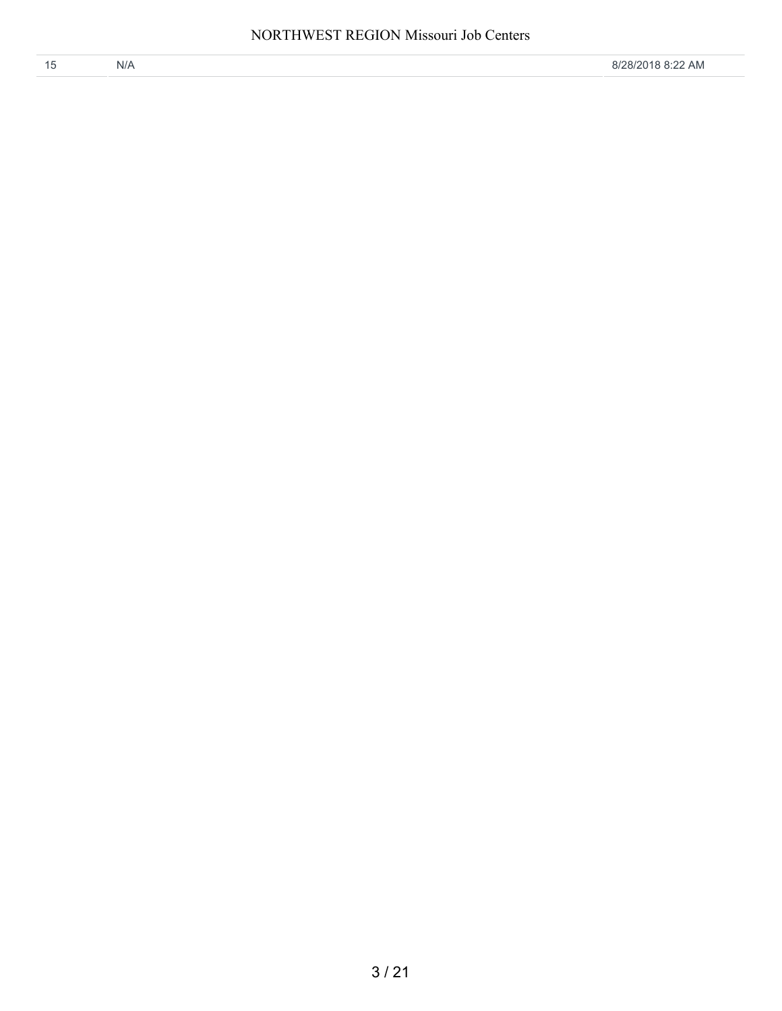| N/A | 8/28/2018 8:22 AM |
|-----|-------------------|
|     |                   |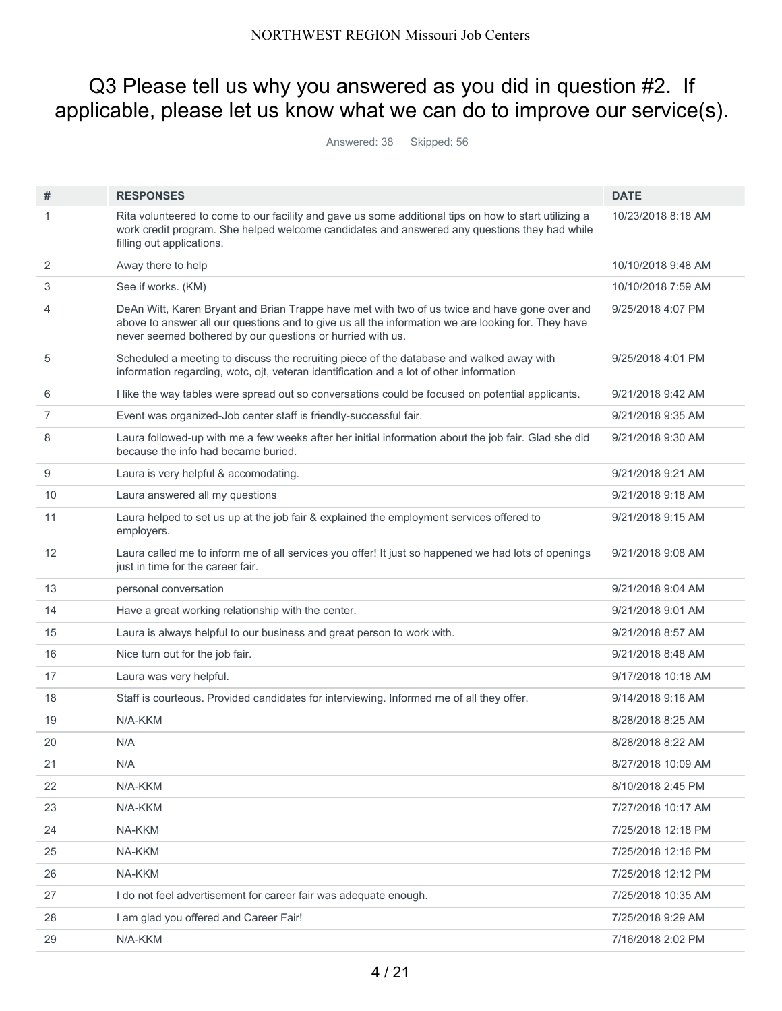# Q3 Please tell us why you answered as you did in question #2. If applicable, please let us know what we can do to improve our service(s).

Answered: 38 Skipped: 56

| #  | <b>RESPONSES</b>                                                                                                                                                                                                                                                  | <b>DATE</b>        |
|----|-------------------------------------------------------------------------------------------------------------------------------------------------------------------------------------------------------------------------------------------------------------------|--------------------|
| 1  | Rita volunteered to come to our facility and gave us some additional tips on how to start utilizing a<br>work credit program. She helped welcome candidates and answered any questions they had while<br>filling out applications.                                | 10/23/2018 8:18 AM |
| 2  | Away there to help                                                                                                                                                                                                                                                | 10/10/2018 9:48 AM |
| 3  | See if works. (KM)                                                                                                                                                                                                                                                | 10/10/2018 7:59 AM |
| 4  | DeAn Witt, Karen Bryant and Brian Trappe have met with two of us twice and have gone over and<br>above to answer all our questions and to give us all the information we are looking for. They have<br>never seemed bothered by our questions or hurried with us. | 9/25/2018 4:07 PM  |
| 5  | Scheduled a meeting to discuss the recruiting piece of the database and walked away with<br>information regarding, wotc, ojt, veteran identification and a lot of other information                                                                               | 9/25/2018 4:01 PM  |
| 6  | I like the way tables were spread out so conversations could be focused on potential applicants.                                                                                                                                                                  | 9/21/2018 9:42 AM  |
| 7  | Event was organized-Job center staff is friendly-successful fair.                                                                                                                                                                                                 | 9/21/2018 9:35 AM  |
| 8  | Laura followed-up with me a few weeks after her initial information about the job fair. Glad she did<br>because the info had became buried.                                                                                                                       | 9/21/2018 9:30 AM  |
| 9  | Laura is very helpful & accomodating.                                                                                                                                                                                                                             | 9/21/2018 9:21 AM  |
| 10 | Laura answered all my questions                                                                                                                                                                                                                                   | 9/21/2018 9:18 AM  |
| 11 | Laura helped to set us up at the job fair & explained the employment services offered to<br>employers.                                                                                                                                                            | 9/21/2018 9:15 AM  |
| 12 | Laura called me to inform me of all services you offer! It just so happened we had lots of openings<br>just in time for the career fair.                                                                                                                          | 9/21/2018 9:08 AM  |
| 13 | personal conversation                                                                                                                                                                                                                                             | 9/21/2018 9:04 AM  |
| 14 | Have a great working relationship with the center.                                                                                                                                                                                                                | 9/21/2018 9:01 AM  |
| 15 | Laura is always helpful to our business and great person to work with.                                                                                                                                                                                            | 9/21/2018 8:57 AM  |
| 16 | Nice turn out for the job fair.                                                                                                                                                                                                                                   | 9/21/2018 8:48 AM  |
| 17 | Laura was very helpful.                                                                                                                                                                                                                                           | 9/17/2018 10:18 AM |
| 18 | Staff is courteous. Provided candidates for interviewing. Informed me of all they offer.                                                                                                                                                                          | 9/14/2018 9:16 AM  |
| 19 | N/A-KKM                                                                                                                                                                                                                                                           | 8/28/2018 8:25 AM  |
| 20 | N/A                                                                                                                                                                                                                                                               | 8/28/2018 8:22 AM  |
| 21 | N/A                                                                                                                                                                                                                                                               | 8/27/2018 10:09 AM |
| 22 | N/A-KKM                                                                                                                                                                                                                                                           | 8/10/2018 2:45 PM  |
| 23 | N/A-KKM                                                                                                                                                                                                                                                           | 7/27/2018 10:17 AM |
| 24 | NA-KKM                                                                                                                                                                                                                                                            | 7/25/2018 12:18 PM |
| 25 | NA-KKM                                                                                                                                                                                                                                                            | 7/25/2018 12:16 PM |
| 26 | NA-KKM                                                                                                                                                                                                                                                            | 7/25/2018 12:12 PM |
| 27 | I do not feel advertisement for career fair was adequate enough.                                                                                                                                                                                                  | 7/25/2018 10:35 AM |
| 28 | I am glad you offered and Career Fair!                                                                                                                                                                                                                            | 7/25/2018 9:29 AM  |
| 29 | N/A-KKM                                                                                                                                                                                                                                                           | 7/16/2018 2:02 PM  |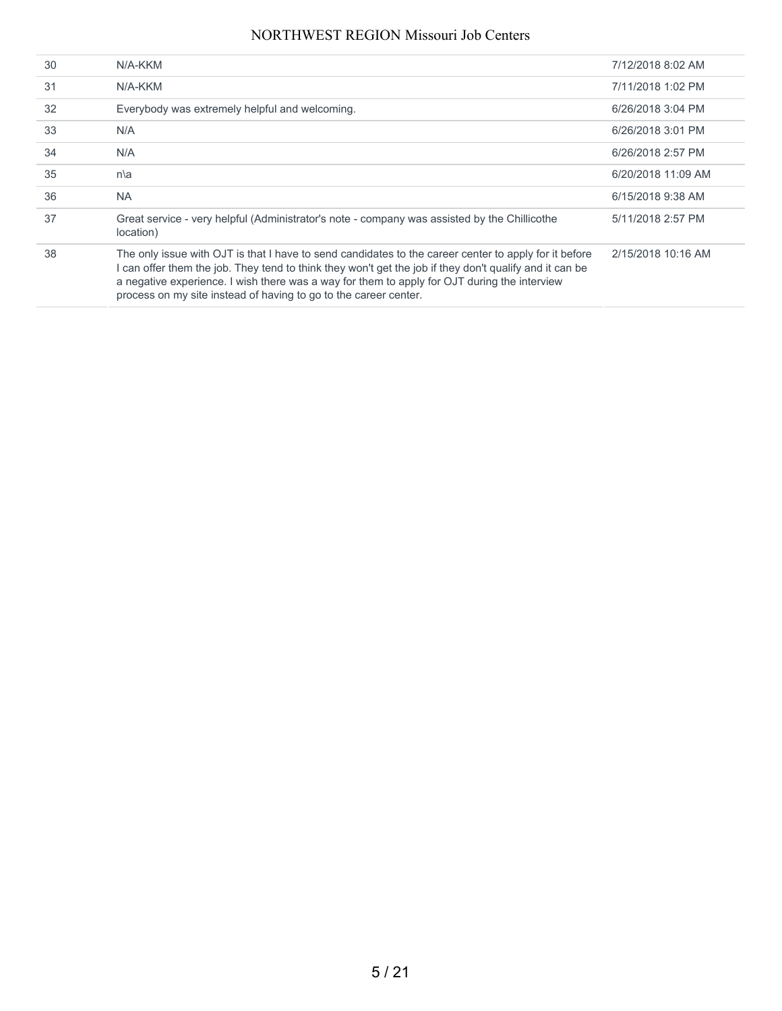| 30 | N/A-KKM                                                                                                                                                                                                                                                                                                                                                                            | 7/12/2018 8:02 AM  |
|----|------------------------------------------------------------------------------------------------------------------------------------------------------------------------------------------------------------------------------------------------------------------------------------------------------------------------------------------------------------------------------------|--------------------|
| 31 | N/A-KKM                                                                                                                                                                                                                                                                                                                                                                            | 7/11/2018 1:02 PM  |
| 32 | Everybody was extremely helpful and welcoming.                                                                                                                                                                                                                                                                                                                                     | 6/26/2018 3:04 PM  |
| 33 | N/A                                                                                                                                                                                                                                                                                                                                                                                | 6/26/2018 3:01 PM  |
| 34 | N/A                                                                                                                                                                                                                                                                                                                                                                                | 6/26/2018 2:57 PM  |
| 35 | n a                                                                                                                                                                                                                                                                                                                                                                                | 6/20/2018 11:09 AM |
| 36 | NA.                                                                                                                                                                                                                                                                                                                                                                                | 6/15/2018 9:38 AM  |
| 37 | Great service - very helpful (Administrator's note - company was assisted by the Chillicothe<br>location)                                                                                                                                                                                                                                                                          | 5/11/2018 2:57 PM  |
| 38 | The only issue with OJT is that I have to send candidates to the career center to apply for it before<br>can offer them the job. They tend to think they won't get the job if they don't qualify and it can be<br>a negative experience. I wish there was a way for them to apply for OJT during the interview<br>process on my site instead of having to go to the career center. | 2/15/2018 10:16 AM |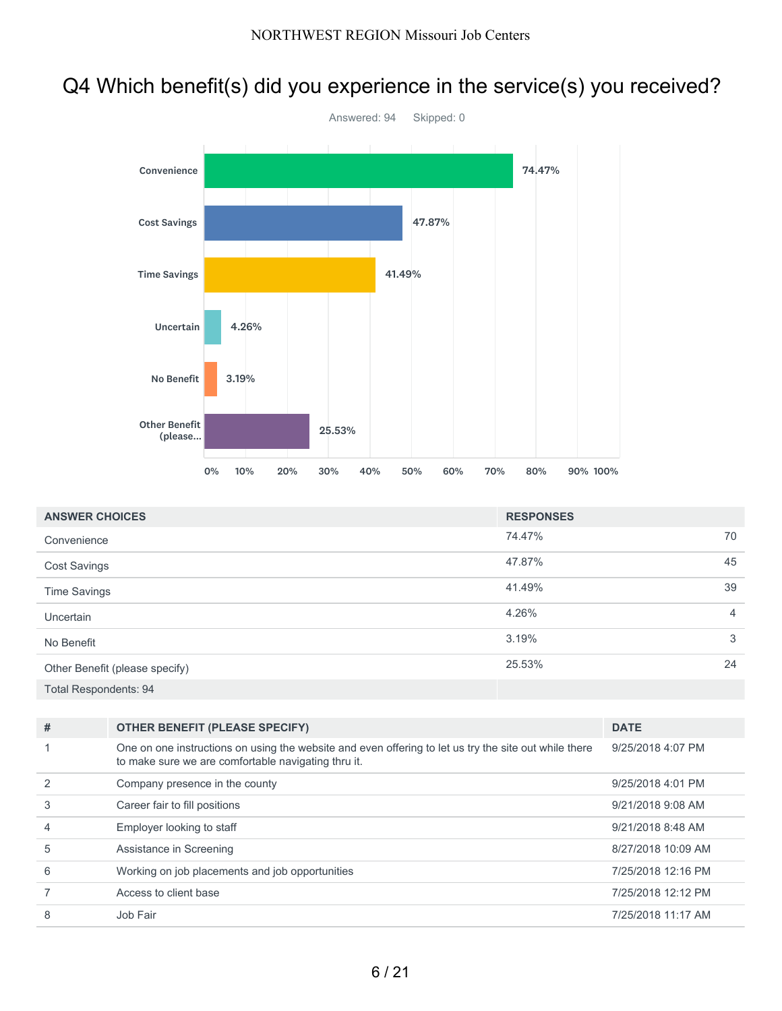# Q4 Which benefit(s) did you experience in the service(s) you received?



| <b>ANSWER CHOICES</b>          | <b>RESPONSES</b> |                |
|--------------------------------|------------------|----------------|
| Convenience                    | 74.47%           | 70             |
| <b>Cost Savings</b>            | 47.87%           | 45             |
| <b>Time Savings</b>            | 41.49%           | 39             |
| <b>Uncertain</b>               | 4.26%            | $\overline{4}$ |
| No Benefit                     | 3.19%            | 3              |
| Other Benefit (please specify) | 25.53%           | 24             |
| <b>Total Respondents: 94</b>   |                  |                |

| # | <b>OTHER BENEFIT (PLEASE SPECIFY)</b>                                                                                                                        | <b>DATE</b>        |
|---|--------------------------------------------------------------------------------------------------------------------------------------------------------------|--------------------|
|   | One on one instructions on using the website and even offering to let us try the site out while there<br>to make sure we are comfortable navigating thru it. | 9/25/2018 4:07 PM  |
|   | Company presence in the county                                                                                                                               | 9/25/2018 4:01 PM  |
| 3 | Career fair to fill positions                                                                                                                                | 9/21/2018 9:08 AM  |
| 4 | Employer looking to staff                                                                                                                                    | 9/21/2018 8:48 AM  |
| 5 | Assistance in Screening                                                                                                                                      | 8/27/2018 10:09 AM |
| 6 | Working on job placements and job opportunities                                                                                                              | 7/25/2018 12:16 PM |
|   | Access to client base                                                                                                                                        | 7/25/2018 12:12 PM |
| 8 | Job Fair                                                                                                                                                     | 7/25/2018 11:17 AM |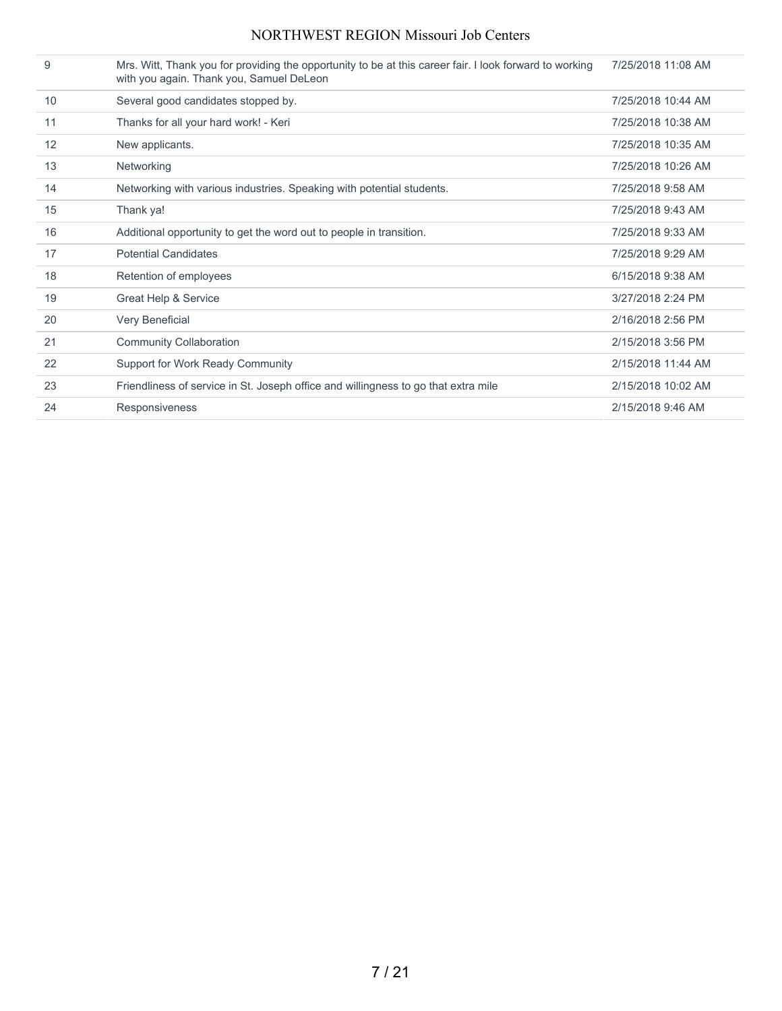| 9  | Mrs. Witt, Thank you for providing the opportunity to be at this career fair. I look forward to working<br>with you again. Thank you, Samuel DeLeon | 7/25/2018 11:08 AM |
|----|-----------------------------------------------------------------------------------------------------------------------------------------------------|--------------------|
| 10 | Several good candidates stopped by.                                                                                                                 | 7/25/2018 10:44 AM |
| 11 | Thanks for all your hard work! - Keri                                                                                                               | 7/25/2018 10:38 AM |
| 12 | New applicants.                                                                                                                                     | 7/25/2018 10:35 AM |
| 13 | Networking                                                                                                                                          | 7/25/2018 10:26 AM |
| 14 | Networking with various industries. Speaking with potential students.                                                                               | 7/25/2018 9:58 AM  |
| 15 | Thank ya!                                                                                                                                           | 7/25/2018 9:43 AM  |
| 16 | Additional opportunity to get the word out to people in transition.                                                                                 | 7/25/2018 9:33 AM  |
| 17 | <b>Potential Candidates</b>                                                                                                                         | 7/25/2018 9:29 AM  |
| 18 | Retention of employees                                                                                                                              | 6/15/2018 9:38 AM  |
| 19 | Great Help & Service                                                                                                                                | 3/27/2018 2:24 PM  |
| 20 | Very Beneficial                                                                                                                                     | 2/16/2018 2:56 PM  |
| 21 | <b>Community Collaboration</b>                                                                                                                      | 2/15/2018 3:56 PM  |
| 22 | Support for Work Ready Community                                                                                                                    | 2/15/2018 11:44 AM |
| 23 | Friendliness of service in St. Joseph office and willingness to go that extra mile                                                                  | 2/15/2018 10:02 AM |
| 24 | Responsiveness                                                                                                                                      | 2/15/2018 9:46 AM  |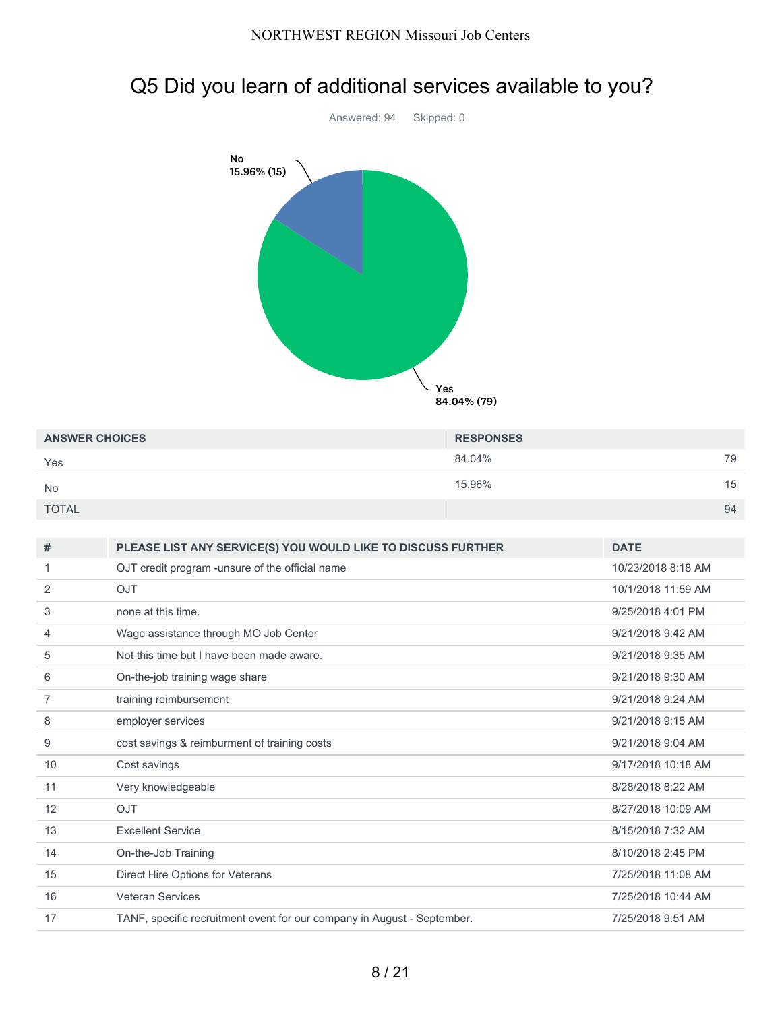# Q5 Did you learn of additional services available to you?



| <b>ANSWER CHOICES</b> | <b>RESPONSES</b> |    |
|-----------------------|------------------|----|
| Yes                   | 84.04%           | 79 |
| <b>No</b>             | 15.96%           | 15 |
| <b>TOTAL</b>          |                  | 94 |

| #  | PLEASE LIST ANY SERVICE(S) YOU WOULD LIKE TO DISCUSS FURTHER            | <b>DATE</b>        |
|----|-------------------------------------------------------------------------|--------------------|
|    | OJT credit program -unsure of the official name                         | 10/23/2018 8:18 AM |
| 2  | <b>OJT</b>                                                              | 10/1/2018 11:59 AM |
| 3  | none at this time.                                                      | 9/25/2018 4:01 PM  |
| 4  | Wage assistance through MO Job Center                                   | 9/21/2018 9:42 AM  |
| 5  | Not this time but I have been made aware.                               | 9/21/2018 9:35 AM  |
| 6  | On-the-job training wage share                                          | 9/21/2018 9:30 AM  |
| 7  | training reimbursement                                                  | 9/21/2018 9:24 AM  |
| 8  | employer services                                                       | 9/21/2018 9:15 AM  |
| 9  | cost savings & reimburment of training costs                            | 9/21/2018 9:04 AM  |
| 10 | Cost savings                                                            | 9/17/2018 10:18 AM |
| 11 | Very knowledgeable                                                      | 8/28/2018 8:22 AM  |
| 12 | <b>OJT</b>                                                              | 8/27/2018 10:09 AM |
| 13 | <b>Excellent Service</b>                                                | 8/15/2018 7:32 AM  |
| 14 | On-the-Job Training                                                     | 8/10/2018 2:45 PM  |
| 15 | Direct Hire Options for Veterans                                        | 7/25/2018 11:08 AM |
| 16 | <b>Veteran Services</b>                                                 | 7/25/2018 10:44 AM |
| 17 | TANF, specific recruitment event for our company in August - September. | 7/25/2018 9:51 AM  |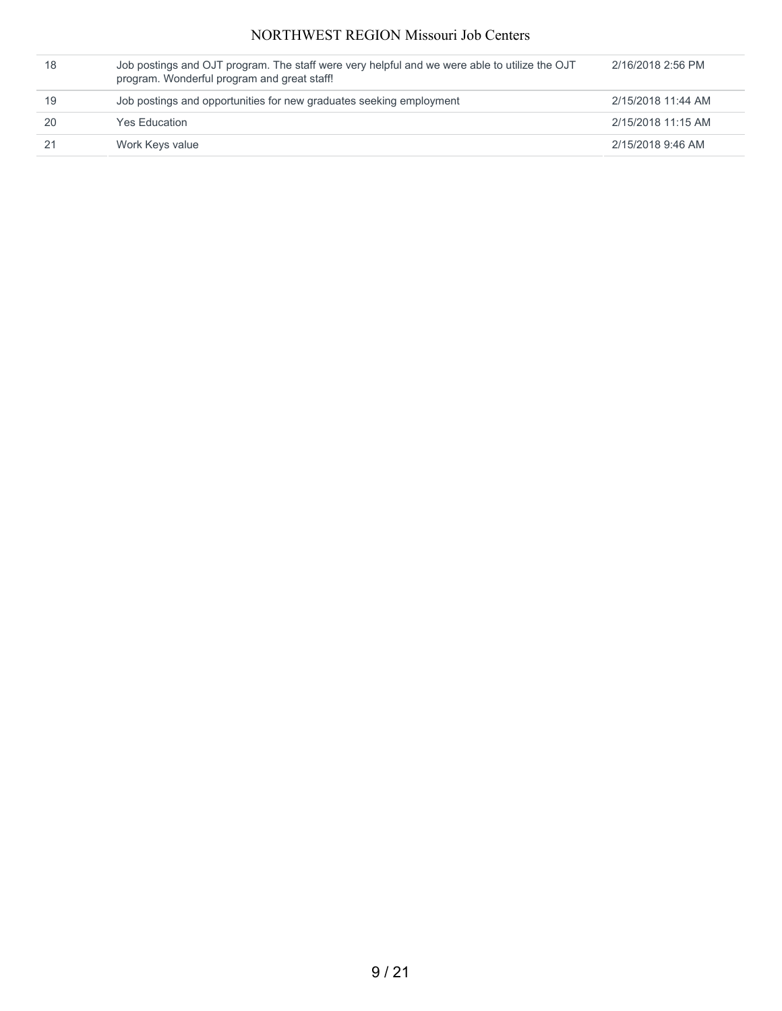| 18 | Job postings and OJT program. The staff were very helpful and we were able to utilize the OJT<br>program. Wonderful program and great staff! | 2/16/2018 2:56 PM  |
|----|----------------------------------------------------------------------------------------------------------------------------------------------|--------------------|
| 19 | Job postings and opportunities for new graduates seeking employment                                                                          | 2/15/2018 11:44 AM |
| 20 | <b>Yes Education</b>                                                                                                                         | 2/15/2018 11:15 AM |
|    | Work Keys value                                                                                                                              | 2/15/2018 9:46 AM  |
|    |                                                                                                                                              |                    |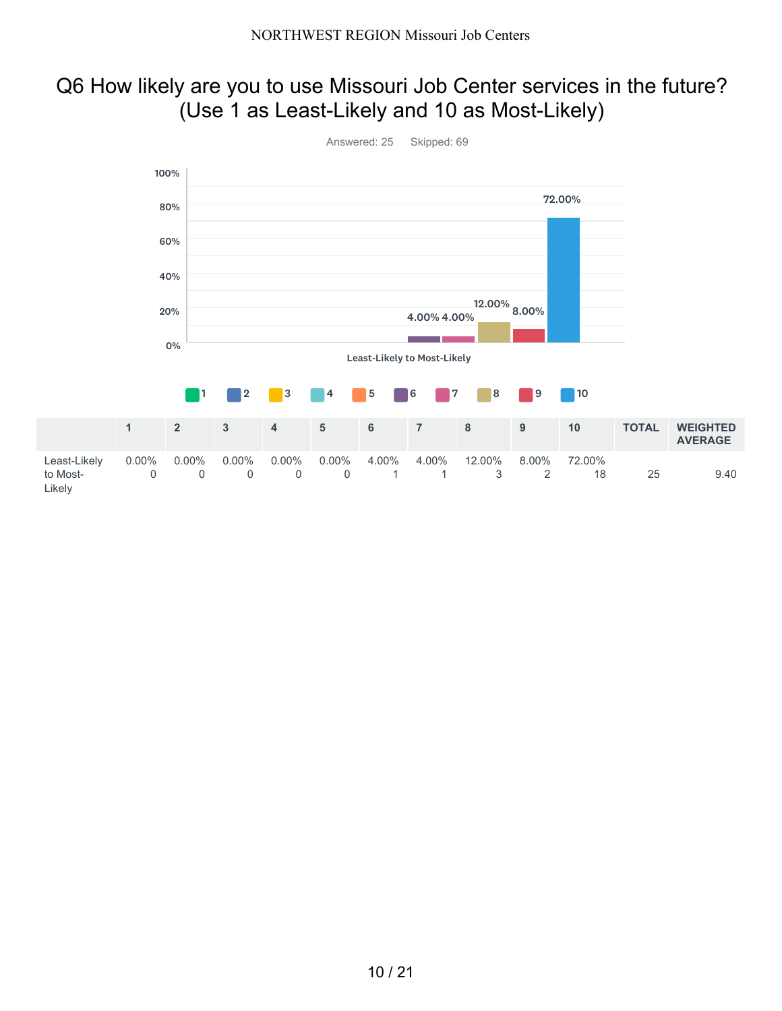# Q6 How likely are you to use Missouri Job Center services in the future? (Use 1 as Least-Likely and 10 as Most-Likely)

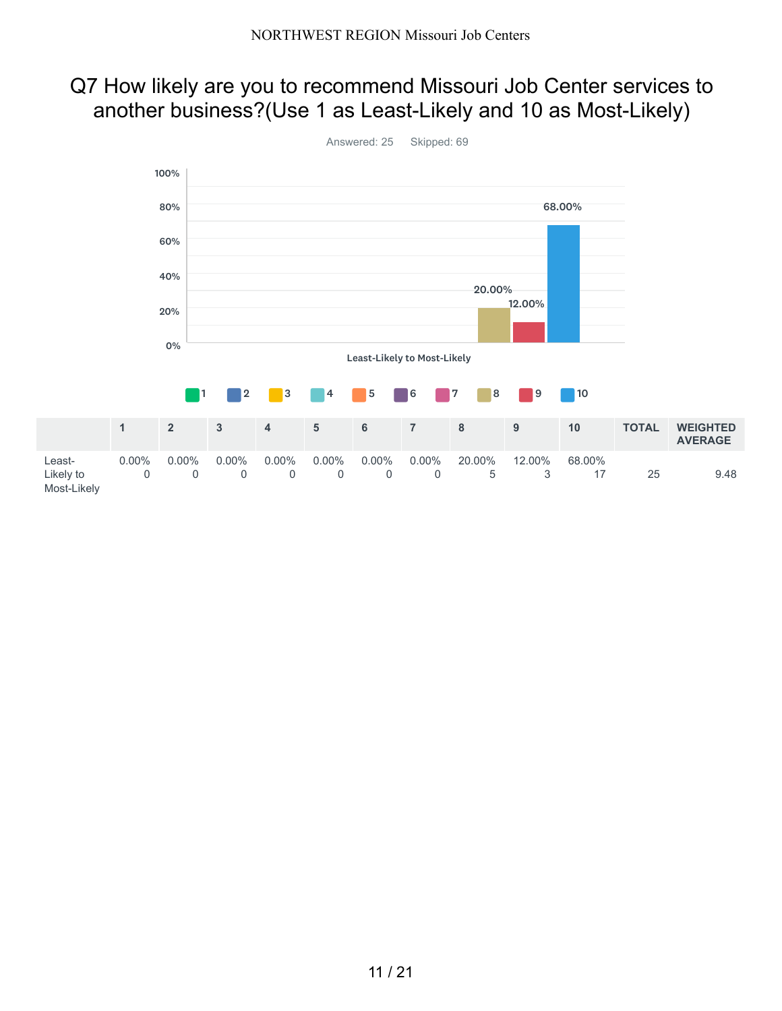# Q7 How likely are you to recommend Missouri Job Center services to another business?(Use 1 as Least-Likely and 10 as Most-Likely)

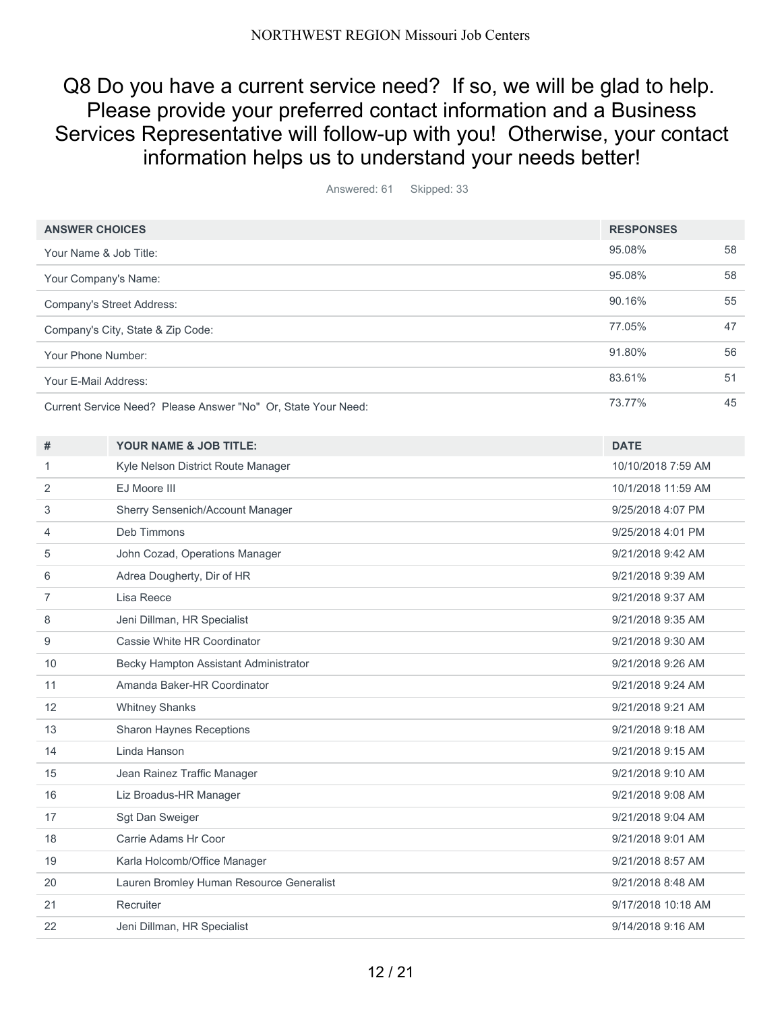# Q8 Do you have a current service need? If so, we will be glad to help. Please provide your preferred contact information and a Business Services Representative will follow-up with you! Otherwise, your contact information helps us to understand your needs better!

Answered: 61 Skipped: 33

| <b>ANSWER CHOICES</b>  |                                                               | <b>RESPONSES</b>   |    |
|------------------------|---------------------------------------------------------------|--------------------|----|
| Your Name & Job Title: |                                                               | 95.08%             | 58 |
| Your Company's Name:   |                                                               | 95.08%             | 58 |
|                        | Company's Street Address:                                     | 90.16%             | 55 |
|                        | Company's City, State & Zip Code:                             | 77.05%             | 47 |
| Your Phone Number:     |                                                               | 91.80%             | 56 |
| Your E-Mail Address:   |                                                               | 83.61%             | 51 |
|                        | Current Service Need? Please Answer "No" Or, State Your Need: | 73.77%             | 45 |
| #                      | YOUR NAME & JOB TITLE:                                        | <b>DATE</b>        |    |
| 1                      | Kyle Nelson District Route Manager                            | 10/10/2018 7:59 AM |    |
| 2                      | EJ Moore III                                                  | 10/1/2018 11:59 AM |    |
| 3                      | Sherry Sensenich/Account Manager                              | 9/25/2018 4:07 PM  |    |
| 4                      | Deb Timmons                                                   | 9/25/2018 4:01 PM  |    |
| 5                      | John Cozad, Operations Manager                                | 9/21/2018 9:42 AM  |    |
| 6                      | Adrea Dougherty, Dir of HR                                    | 9/21/2018 9:39 AM  |    |
| $\overline{7}$         | Lisa Reece                                                    | 9/21/2018 9:37 AM  |    |
| 8                      | Jeni Dillman, HR Specialist                                   | 9/21/2018 9:35 AM  |    |
| 9                      | Cassie White HR Coordinator                                   | 9/21/2018 9:30 AM  |    |
| 10                     | Becky Hampton Assistant Administrator                         | 9/21/2018 9:26 AM  |    |
| 11                     | Amanda Baker-HR Coordinator                                   | 9/21/2018 9:24 AM  |    |
| 12                     | <b>Whitney Shanks</b>                                         | 9/21/2018 9:21 AM  |    |
| 13                     | <b>Sharon Haynes Receptions</b>                               | 9/21/2018 9:18 AM  |    |
| 14                     | Linda Hanson                                                  | 9/21/2018 9:15 AM  |    |
| 15                     | Jean Rainez Traffic Manager                                   | 9/21/2018 9:10 AM  |    |
| 16                     | Liz Broadus-HR Manager                                        | 9/21/2018 9:08 AM  |    |
| 17                     | Sgt Dan Sweiger                                               | 9/21/2018 9:04 AM  |    |
| 18                     | Carrie Adams Hr Coor                                          | 9/21/2018 9:01 AM  |    |
| 19                     | Karla Holcomb/Office Manager                                  | 9/21/2018 8:57 AM  |    |
| 20                     | Lauren Bromley Human Resource Generalist                      | 9/21/2018 8:48 AM  |    |
| 21                     | Recruiter                                                     | 9/17/2018 10:18 AM |    |
| 22                     | Jeni Dillman, HR Specialist                                   | 9/14/2018 9:16 AM  |    |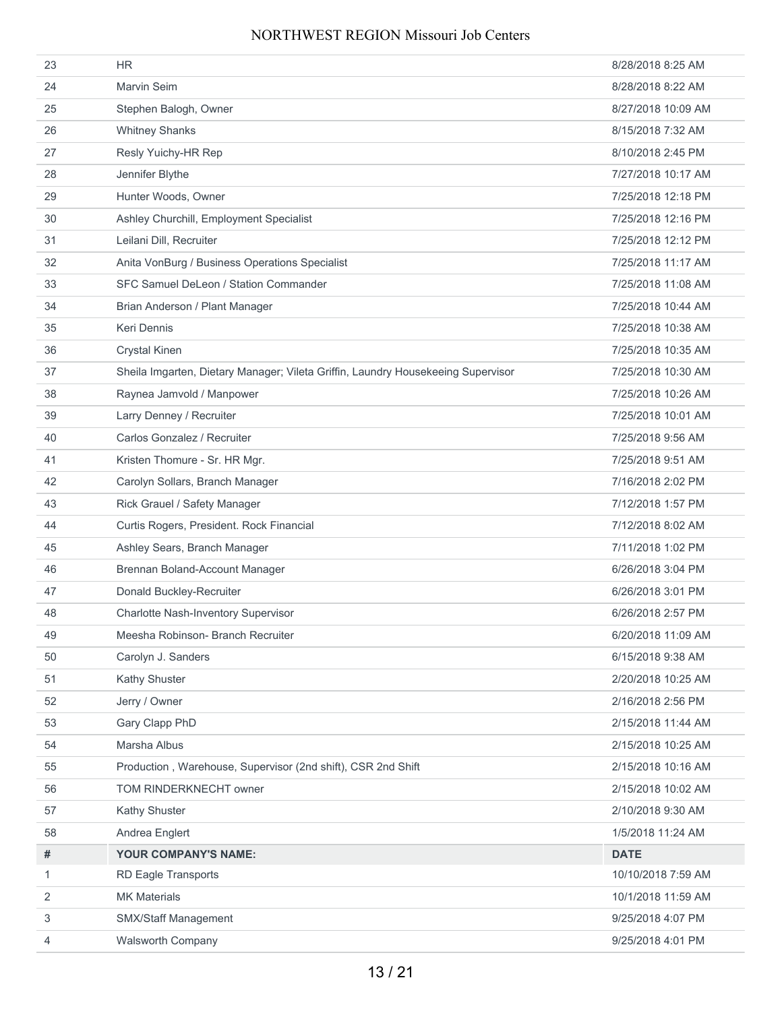| 23 | <b>HR</b>                                                                        | 8/28/2018 8:25 AM  |
|----|----------------------------------------------------------------------------------|--------------------|
| 24 | Marvin Seim                                                                      | 8/28/2018 8:22 AM  |
| 25 | Stephen Balogh, Owner                                                            | 8/27/2018 10:09 AM |
| 26 | <b>Whitney Shanks</b>                                                            | 8/15/2018 7:32 AM  |
| 27 | Resly Yuichy-HR Rep                                                              | 8/10/2018 2:45 PM  |
| 28 | Jennifer Blythe                                                                  | 7/27/2018 10:17 AM |
| 29 | Hunter Woods, Owner                                                              | 7/25/2018 12:18 PM |
| 30 | Ashley Churchill, Employment Specialist                                          | 7/25/2018 12:16 PM |
| 31 | Leilani Dill. Recruiter                                                          | 7/25/2018 12:12 PM |
| 32 | Anita VonBurg / Business Operations Specialist                                   | 7/25/2018 11:17 AM |
| 33 | SFC Samuel DeLeon / Station Commander                                            | 7/25/2018 11:08 AM |
| 34 | Brian Anderson / Plant Manager                                                   | 7/25/2018 10:44 AM |
| 35 | <b>Keri Dennis</b>                                                               | 7/25/2018 10:38 AM |
| 36 | <b>Crystal Kinen</b>                                                             | 7/25/2018 10:35 AM |
| 37 | Sheila Imgarten, Dietary Manager; Vileta Griffin, Laundry Housekeeing Supervisor | 7/25/2018 10:30 AM |
| 38 | Raynea Jamvold / Manpower                                                        | 7/25/2018 10:26 AM |
| 39 | Larry Denney / Recruiter                                                         | 7/25/2018 10:01 AM |
| 40 | Carlos Gonzalez / Recruiter                                                      | 7/25/2018 9:56 AM  |
| 41 | Kristen Thomure - Sr. HR Mgr.                                                    | 7/25/2018 9:51 AM  |
| 42 | Carolyn Sollars, Branch Manager                                                  | 7/16/2018 2:02 PM  |
| 43 | Rick Grauel / Safety Manager                                                     | 7/12/2018 1:57 PM  |
| 44 | Curtis Rogers, President. Rock Financial                                         | 7/12/2018 8:02 AM  |
| 45 | Ashley Sears, Branch Manager                                                     | 7/11/2018 1:02 PM  |
| 46 | Brennan Boland-Account Manager                                                   | 6/26/2018 3:04 PM  |
| 47 | Donald Buckley-Recruiter                                                         | 6/26/2018 3:01 PM  |
| 48 | Charlotte Nash-Inventory Supervisor                                              | 6/26/2018 2:57 PM  |
| 49 | Meesha Robinson- Branch Recruiter                                                | 6/20/2018 11:09 AM |
| 50 | Carolyn J. Sanders                                                               | 6/15/2018 9:38 AM  |
| 51 | Kathy Shuster                                                                    | 2/20/2018 10:25 AM |
| 52 | Jerry / Owner                                                                    | 2/16/2018 2:56 PM  |
| 53 | Gary Clapp PhD                                                                   | 2/15/2018 11:44 AM |
| 54 | Marsha Albus                                                                     | 2/15/2018 10:25 AM |
| 55 | Production, Warehouse, Supervisor (2nd shift), CSR 2nd Shift                     | 2/15/2018 10:16 AM |
| 56 | TOM RINDERKNECHT owner                                                           | 2/15/2018 10:02 AM |
| 57 | Kathy Shuster                                                                    | 2/10/2018 9:30 AM  |
| 58 | Andrea Englert                                                                   | 1/5/2018 11:24 AM  |
| #  | YOUR COMPANY'S NAME:                                                             | <b>DATE</b>        |
| 1  | <b>RD Eagle Transports</b>                                                       | 10/10/2018 7:59 AM |
| 2  | <b>MK Materials</b>                                                              | 10/1/2018 11:59 AM |
| 3  | SMX/Staff Management                                                             | 9/25/2018 4:07 PM  |
| 4  | Walsworth Company                                                                | 9/25/2018 4:01 PM  |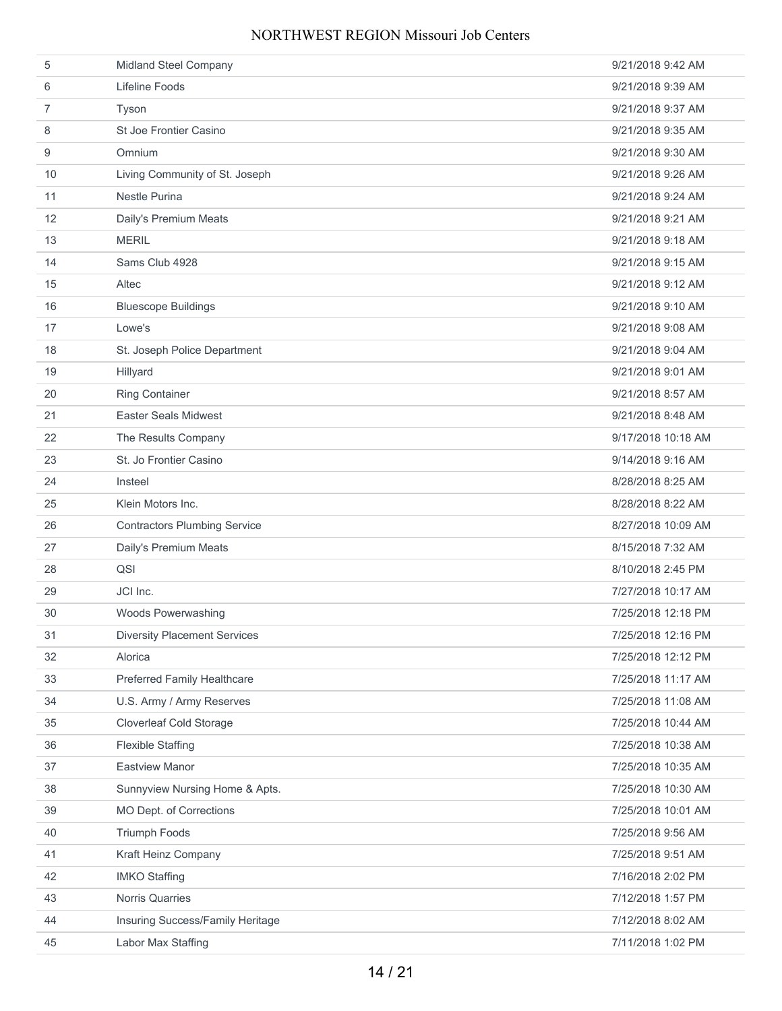| 5              | Midland Steel Company               | 9/21/2018 9:42 AM  |
|----------------|-------------------------------------|--------------------|
| 6              | Lifeline Foods                      | 9/21/2018 9:39 AM  |
| $\overline{7}$ | Tyson                               | 9/21/2018 9:37 AM  |
| 8              | St Joe Frontier Casino              | 9/21/2018 9:35 AM  |
| 9              | Omnium                              | 9/21/2018 9:30 AM  |
| 10             | Living Community of St. Joseph      | 9/21/2018 9:26 AM  |
| 11             | <b>Nestle Purina</b>                | 9/21/2018 9:24 AM  |
| 12             | Daily's Premium Meats               | 9/21/2018 9:21 AM  |
| 13             | <b>MERIL</b>                        | 9/21/2018 9:18 AM  |
| 14             | Sams Club 4928                      | 9/21/2018 9:15 AM  |
| 15             | Altec                               | 9/21/2018 9:12 AM  |
| 16             | <b>Bluescope Buildings</b>          | 9/21/2018 9:10 AM  |
| 17             | Lowe's                              | 9/21/2018 9:08 AM  |
| 18             | St. Joseph Police Department        | 9/21/2018 9:04 AM  |
| 19             | Hillyard                            | 9/21/2018 9:01 AM  |
| 20             | <b>Ring Container</b>               | 9/21/2018 8:57 AM  |
| 21             | <b>Easter Seals Midwest</b>         | 9/21/2018 8:48 AM  |
| 22             | The Results Company                 | 9/17/2018 10:18 AM |
| 23             | St. Jo Frontier Casino              | 9/14/2018 9:16 AM  |
| 24             | Insteel                             | 8/28/2018 8:25 AM  |
| 25             | Klein Motors Inc.                   | 8/28/2018 8:22 AM  |
| 26             | <b>Contractors Plumbing Service</b> | 8/27/2018 10:09 AM |
| 27             | Daily's Premium Meats               | 8/15/2018 7:32 AM  |
| 28             | QSI                                 | 8/10/2018 2:45 PM  |
| 29             | JCI Inc.                            | 7/27/2018 10:17 AM |
| 30             | Woods Powerwashing                  | 7/25/2018 12:18 PM |
| 31             | <b>Diversity Placement Services</b> | 7/25/2018 12:16 PM |
| 32             | Alorica                             | 7/25/2018 12:12 PM |
| 33             | <b>Preferred Family Healthcare</b>  | 7/25/2018 11:17 AM |
| 34             | U.S. Army / Army Reserves           | 7/25/2018 11:08 AM |
| 35             | <b>Cloverleaf Cold Storage</b>      | 7/25/2018 10:44 AM |
| 36             | <b>Flexible Staffing</b>            | 7/25/2018 10:38 AM |
| 37             | <b>Eastview Manor</b>               | 7/25/2018 10:35 AM |
| 38             | Sunnyview Nursing Home & Apts.      | 7/25/2018 10:30 AM |
| 39             | MO Dept. of Corrections             | 7/25/2018 10:01 AM |
| 40             | Triumph Foods                       | 7/25/2018 9:56 AM  |
| 41             | Kraft Heinz Company                 | 7/25/2018 9:51 AM  |
| 42             | <b>IMKO Staffing</b>                | 7/16/2018 2:02 PM  |
| 43             | Norris Quarries                     | 7/12/2018 1:57 PM  |
| 44             | Insuring Success/Family Heritage    | 7/12/2018 8:02 AM  |
| 45             | Labor Max Staffing                  | 7/11/2018 1:02 PM  |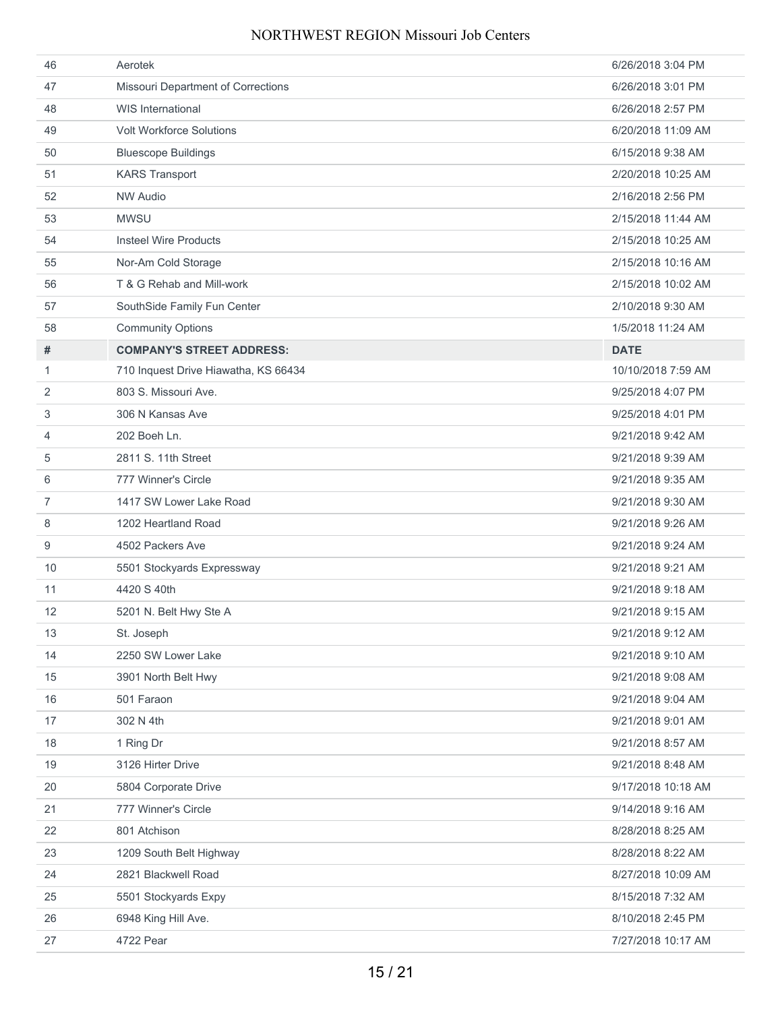| 46             | Aerotek                              | 6/26/2018 3:04 PM  |
|----------------|--------------------------------------|--------------------|
| 47             | Missouri Department of Corrections   | 6/26/2018 3:01 PM  |
| 48             | <b>WIS International</b>             | 6/26/2018 2:57 PM  |
| 49             | <b>Volt Workforce Solutions</b>      | 6/20/2018 11:09 AM |
| 50             | <b>Bluescope Buildings</b>           | 6/15/2018 9:38 AM  |
| 51             | <b>KARS Transport</b>                | 2/20/2018 10:25 AM |
| 52             | <b>NW Audio</b>                      | 2/16/2018 2:56 PM  |
| 53             | <b>MWSU</b>                          | 2/15/2018 11:44 AM |
| 54             | <b>Insteel Wire Products</b>         | 2/15/2018 10:25 AM |
| 55             | Nor-Am Cold Storage                  | 2/15/2018 10:16 AM |
| 56             | T & G Rehab and Mill-work            | 2/15/2018 10:02 AM |
| 57             | SouthSide Family Fun Center          | 2/10/2018 9:30 AM  |
| 58             | <b>Community Options</b>             | 1/5/2018 11:24 AM  |
| #              | <b>COMPANY'S STREET ADDRESS:</b>     | <b>DATE</b>        |
| 1              | 710 Inquest Drive Hiawatha, KS 66434 | 10/10/2018 7:59 AM |
| 2              | 803 S. Missouri Ave.                 | 9/25/2018 4:07 PM  |
| 3              | 306 N Kansas Ave                     | 9/25/2018 4:01 PM  |
| 4              | 202 Boeh Ln.                         | 9/21/2018 9:42 AM  |
| 5              | 2811 S. 11th Street                  | 9/21/2018 9:39 AM  |
| 6              | 777 Winner's Circle                  | 9/21/2018 9:35 AM  |
| $\overline{7}$ | 1417 SW Lower Lake Road              | 9/21/2018 9:30 AM  |
| 8              | 1202 Heartland Road                  | 9/21/2018 9:26 AM  |
| 9              | 4502 Packers Ave                     | 9/21/2018 9:24 AM  |
| 10             | 5501 Stockyards Expressway           | 9/21/2018 9:21 AM  |
| 11             | 4420 S 40th                          | 9/21/2018 9:18 AM  |
| 12             | 5201 N. Belt Hwy Ste A               | 9/21/2018 9:15 AM  |
| 13             | St. Joseph                           | 9/21/2018 9:12 AM  |
| 14             | 2250 SW Lower Lake                   | 9/21/2018 9:10 AM  |
| 15             | 3901 North Belt Hwy                  | 9/21/2018 9:08 AM  |
| 16             | 501 Faraon                           | 9/21/2018 9:04 AM  |
| 17             | 302 N 4th                            | 9/21/2018 9:01 AM  |
| 18             | 1 Ring Dr                            | 9/21/2018 8:57 AM  |
| 19             | 3126 Hirter Drive                    | 9/21/2018 8:48 AM  |
| 20             | 5804 Corporate Drive                 | 9/17/2018 10:18 AM |
| 21             | 777 Winner's Circle                  | 9/14/2018 9:16 AM  |
| 22             | 801 Atchison                         | 8/28/2018 8:25 AM  |
| 23             | 1209 South Belt Highway              | 8/28/2018 8:22 AM  |
| 24             | 2821 Blackwell Road                  | 8/27/2018 10:09 AM |
| 25             | 5501 Stockyards Expy                 | 8/15/2018 7:32 AM  |
| 26             | 6948 King Hill Ave.                  | 8/10/2018 2:45 PM  |
| 27             | 4722 Pear                            | 7/27/2018 10:17 AM |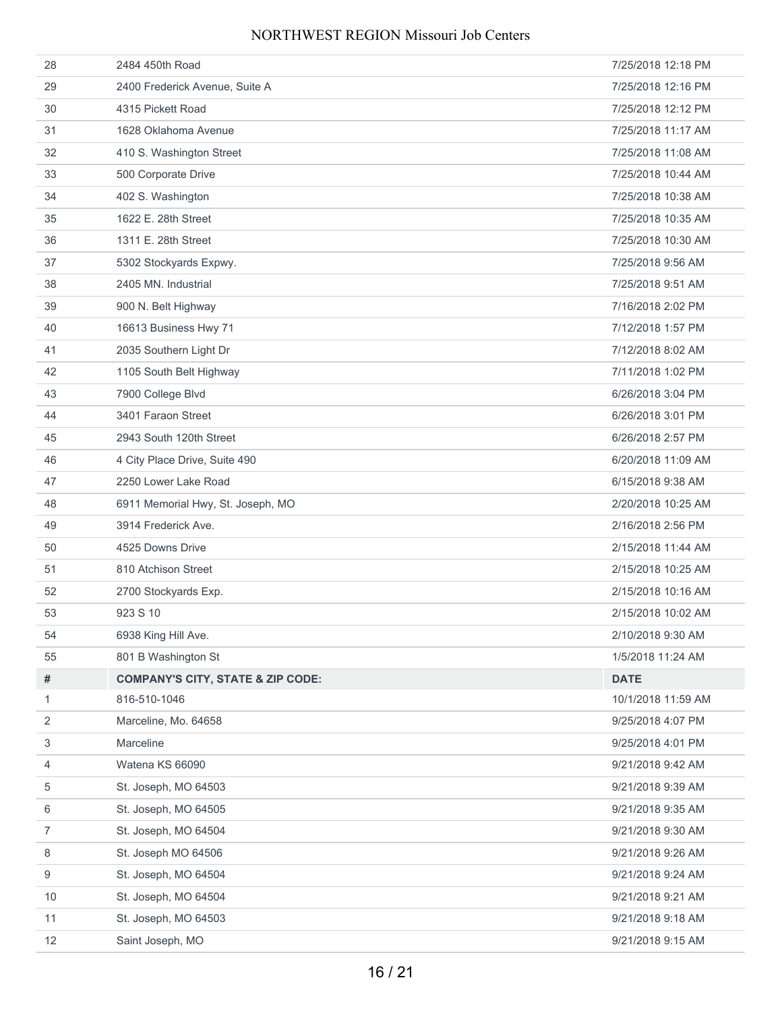| 28             | 2484 450th Road                              | 7/25/2018 12:18 PM |
|----------------|----------------------------------------------|--------------------|
| 29             | 2400 Frederick Avenue, Suite A               | 7/25/2018 12:16 PM |
| 30             | 4315 Pickett Road                            | 7/25/2018 12:12 PM |
| 31             | 1628 Oklahoma Avenue                         | 7/25/2018 11:17 AM |
| 32             | 410 S. Washington Street                     | 7/25/2018 11:08 AM |
| 33             | 500 Corporate Drive                          | 7/25/2018 10:44 AM |
| 34             | 402 S. Washington                            | 7/25/2018 10:38 AM |
| 35             | 1622 E. 28th Street                          | 7/25/2018 10:35 AM |
| 36             | 1311 E. 28th Street                          | 7/25/2018 10:30 AM |
| 37             | 5302 Stockyards Expwy.                       | 7/25/2018 9:56 AM  |
| 38             | 2405 MN. Industrial                          | 7/25/2018 9:51 AM  |
| 39             | 900 N. Belt Highway                          | 7/16/2018 2:02 PM  |
| 40             | 16613 Business Hwy 71                        | 7/12/2018 1:57 PM  |
| 41             | 2035 Southern Light Dr                       | 7/12/2018 8:02 AM  |
| 42             | 1105 South Belt Highway                      | 7/11/2018 1:02 PM  |
| 43             | 7900 College Blvd                            | 6/26/2018 3:04 PM  |
| 44             | 3401 Faraon Street                           | 6/26/2018 3:01 PM  |
| 45             | 2943 South 120th Street                      | 6/26/2018 2:57 PM  |
| 46             | 4 City Place Drive, Suite 490                | 6/20/2018 11:09 AM |
| 47             | 2250 Lower Lake Road                         | 6/15/2018 9:38 AM  |
| 48             | 6911 Memorial Hwy, St. Joseph, MO            | 2/20/2018 10:25 AM |
| 49             | 3914 Frederick Ave.                          | 2/16/2018 2:56 PM  |
| 50             | 4525 Downs Drive                             | 2/15/2018 11:44 AM |
| 51             | 810 Atchison Street                          | 2/15/2018 10:25 AM |
| 52             | 2700 Stockyards Exp.                         | 2/15/2018 10:16 AM |
| 53             | 923 S 10                                     | 2/15/2018 10:02 AM |
| 54             | 6938 King Hill Ave.                          | 2/10/2018 9:30 AM  |
| 55             | 801 B Washington St                          | 1/5/2018 11:24 AM  |
| #              | <b>COMPANY'S CITY, STATE &amp; ZIP CODE:</b> | <b>DATE</b>        |
| 1              | 816-510-1046                                 | 10/1/2018 11:59 AM |
| 2              | Marceline, Mo. 64658                         | 9/25/2018 4:07 PM  |
| 3              | Marceline                                    | 9/25/2018 4:01 PM  |
| 4              | Watena KS 66090                              | 9/21/2018 9:42 AM  |
| 5              | St. Joseph, MO 64503                         | 9/21/2018 9:39 AM  |
| 6              | St. Joseph, MO 64505                         | 9/21/2018 9:35 AM  |
| $\overline{7}$ | St. Joseph, MO 64504                         | 9/21/2018 9:30 AM  |
| 8              | St. Joseph MO 64506                          | 9/21/2018 9:26 AM  |
| 9              | St. Joseph, MO 64504                         | 9/21/2018 9:24 AM  |
| 10             | St. Joseph, MO 64504                         | 9/21/2018 9:21 AM  |
| 11             | St. Joseph, MO 64503                         | 9/21/2018 9:18 AM  |
| 12             | Saint Joseph, MO                             | 9/21/2018 9:15 AM  |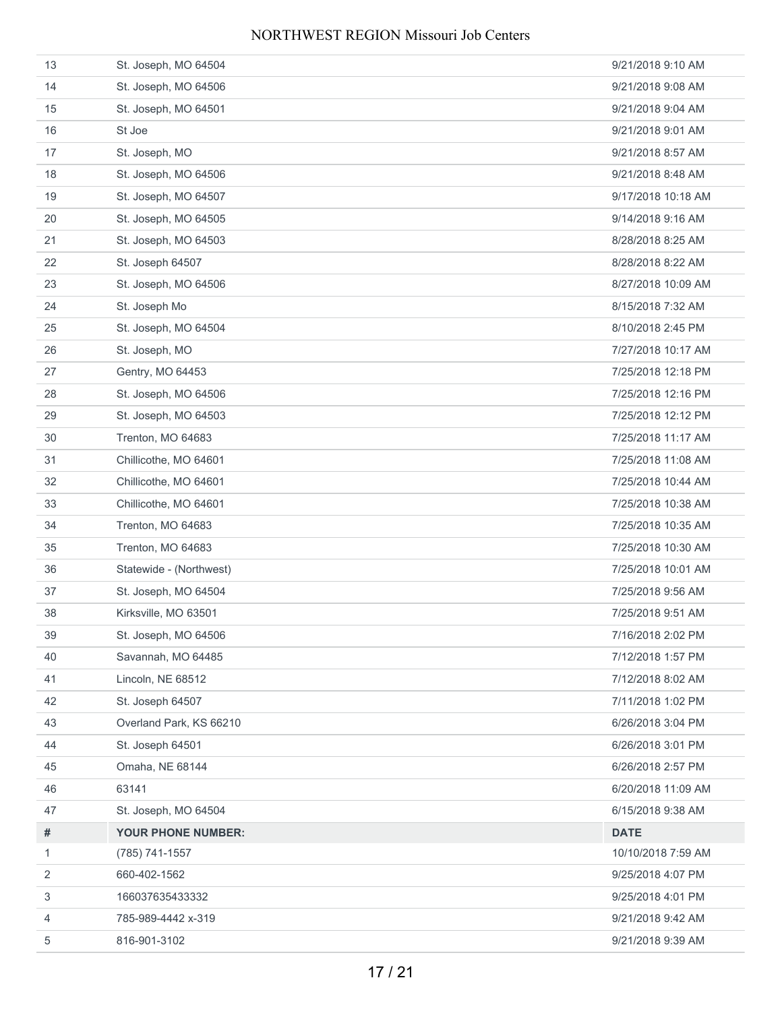| 13 | St. Joseph, MO 64504      | 9/21/2018 9:10 AM  |
|----|---------------------------|--------------------|
| 14 | St. Joseph, MO 64506      | 9/21/2018 9:08 AM  |
| 15 | St. Joseph, MO 64501      | 9/21/2018 9:04 AM  |
| 16 | St Joe                    | 9/21/2018 9:01 AM  |
| 17 | St. Joseph, MO            | 9/21/2018 8:57 AM  |
| 18 | St. Joseph, MO 64506      | 9/21/2018 8:48 AM  |
| 19 | St. Joseph, MO 64507      | 9/17/2018 10:18 AM |
| 20 | St. Joseph, MO 64505      | 9/14/2018 9:16 AM  |
| 21 | St. Joseph, MO 64503      | 8/28/2018 8:25 AM  |
| 22 | St. Joseph 64507          | 8/28/2018 8:22 AM  |
| 23 | St. Joseph, MO 64506      | 8/27/2018 10:09 AM |
| 24 | St. Joseph Mo             | 8/15/2018 7:32 AM  |
| 25 | St. Joseph, MO 64504      | 8/10/2018 2:45 PM  |
| 26 | St. Joseph, MO            | 7/27/2018 10:17 AM |
| 27 | Gentry, MO 64453          | 7/25/2018 12:18 PM |
| 28 | St. Joseph, MO 64506      | 7/25/2018 12:16 PM |
| 29 | St. Joseph, MO 64503      | 7/25/2018 12:12 PM |
| 30 | Trenton, MO 64683         | 7/25/2018 11:17 AM |
| 31 | Chillicothe, MO 64601     | 7/25/2018 11:08 AM |
| 32 | Chillicothe, MO 64601     | 7/25/2018 10:44 AM |
| 33 | Chillicothe, MO 64601     | 7/25/2018 10:38 AM |
| 34 | Trenton, MO 64683         | 7/25/2018 10:35 AM |
| 35 | Trenton, MO 64683         | 7/25/2018 10:30 AM |
| 36 | Statewide - (Northwest)   | 7/25/2018 10:01 AM |
| 37 | St. Joseph, MO 64504      | 7/25/2018 9:56 AM  |
| 38 | Kirksville, MO 63501      | 7/25/2018 9:51 AM  |
| 39 | St. Joseph, MO 64506      | 7/16/2018 2:02 PM  |
| 40 | Savannah, MO 64485        | 7/12/2018 1:57 PM  |
| 41 | Lincoln, NE 68512         | 7/12/2018 8:02 AM  |
| 42 | St. Joseph 64507          | 7/11/2018 1:02 PM  |
| 43 | Overland Park, KS 66210   | 6/26/2018 3:04 PM  |
| 44 | St. Joseph 64501          | 6/26/2018 3:01 PM  |
| 45 | Omaha, NE 68144           | 6/26/2018 2:57 PM  |
| 46 | 63141                     | 6/20/2018 11:09 AM |
| 47 | St. Joseph, MO 64504      | 6/15/2018 9:38 AM  |
| #  | <b>YOUR PHONE NUMBER:</b> | <b>DATE</b>        |
| 1  | (785) 741-1557            | 10/10/2018 7:59 AM |
| 2  | 660-402-1562              | 9/25/2018 4:07 PM  |
| 3  | 166037635433332           | 9/25/2018 4:01 PM  |
| 4  | 785-989-4442 x-319        | 9/21/2018 9:42 AM  |
| 5  | 816-901-3102              | 9/21/2018 9:39 AM  |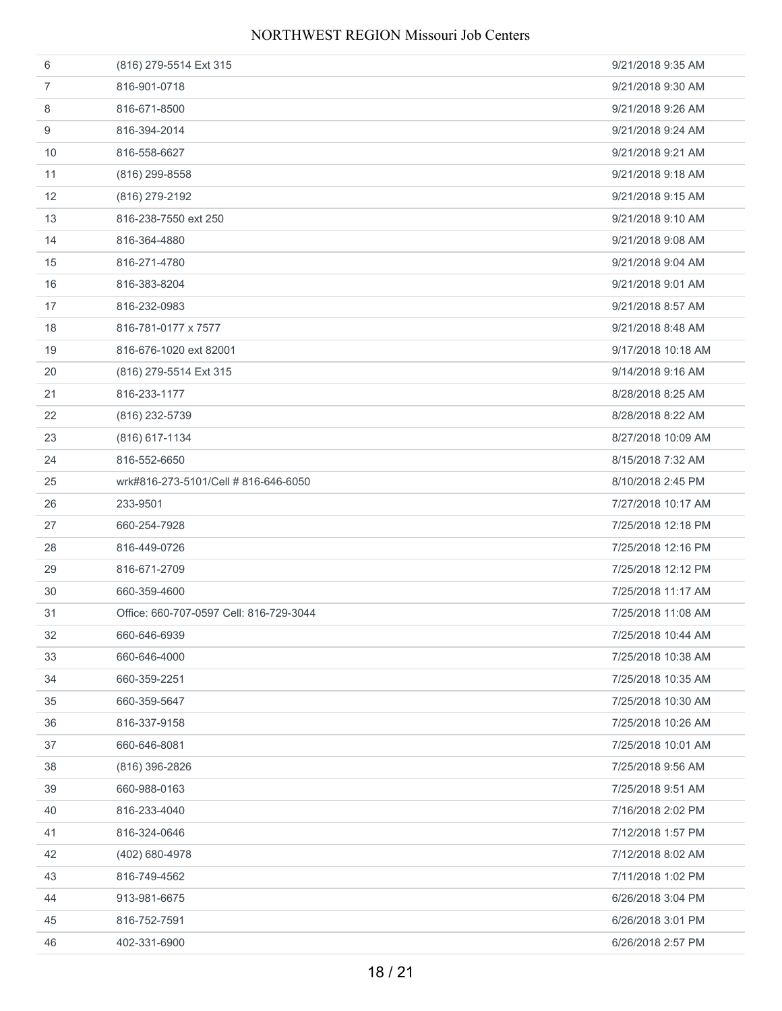| 6  | (816) 279-5514 Ext 315                  | 9/21/2018 9:35 AM  |
|----|-----------------------------------------|--------------------|
| 7  | 816-901-0718                            | 9/21/2018 9:30 AM  |
| 8  | 816-671-8500                            | 9/21/2018 9:26 AM  |
| 9  | 816-394-2014                            | 9/21/2018 9:24 AM  |
| 10 | 816-558-6627                            | 9/21/2018 9:21 AM  |
| 11 | $(816)$ 299-8558                        | 9/21/2018 9:18 AM  |
| 12 | (816) 279-2192                          | 9/21/2018 9:15 AM  |
| 13 | 816-238-7550 ext 250                    | 9/21/2018 9:10 AM  |
| 14 | 816-364-4880                            | 9/21/2018 9:08 AM  |
| 15 | 816-271-4780                            | 9/21/2018 9:04 AM  |
| 16 | 816-383-8204                            | 9/21/2018 9:01 AM  |
| 17 | 816-232-0983                            | 9/21/2018 8:57 AM  |
| 18 | 816-781-0177 x 7577                     | 9/21/2018 8:48 AM  |
| 19 | 816-676-1020 ext 82001                  | 9/17/2018 10:18 AM |
| 20 | (816) 279-5514 Ext 315                  | 9/14/2018 9:16 AM  |
| 21 | 816-233-1177                            | 8/28/2018 8:25 AM  |
| 22 | (816) 232-5739                          | 8/28/2018 8:22 AM  |
| 23 | (816) 617-1134                          | 8/27/2018 10:09 AM |
| 24 | 816-552-6650                            | 8/15/2018 7:32 AM  |
| 25 | wrk#816-273-5101/Cell # 816-646-6050    | 8/10/2018 2:45 PM  |
| 26 | 233-9501                                | 7/27/2018 10:17 AM |
| 27 | 660-254-7928                            | 7/25/2018 12:18 PM |
| 28 | 816-449-0726                            | 7/25/2018 12:16 PM |
| 29 | 816-671-2709                            | 7/25/2018 12:12 PM |
| 30 | 660-359-4600                            | 7/25/2018 11:17 AM |
| 31 | Office: 660-707-0597 Cell: 816-729-3044 | 7/25/2018 11:08 AM |
| 32 | 660-646-6939                            | 7/25/2018 10:44 AM |
| 33 | 660-646-4000                            | 7/25/2018 10:38 AM |
| 34 | 660-359-2251                            | 7/25/2018 10:35 AM |
| 35 | 660-359-5647                            | 7/25/2018 10:30 AM |
| 36 | 816-337-9158                            | 7/25/2018 10:26 AM |
| 37 | 660-646-8081                            | 7/25/2018 10:01 AM |
| 38 | (816) 396-2826                          | 7/25/2018 9:56 AM  |
| 39 | 660-988-0163                            | 7/25/2018 9:51 AM  |
| 40 | 816-233-4040                            | 7/16/2018 2:02 PM  |
| 41 | 816-324-0646                            | 7/12/2018 1:57 PM  |
| 42 | (402) 680-4978                          | 7/12/2018 8:02 AM  |
| 43 | 816-749-4562                            | 7/11/2018 1:02 PM  |
| 44 | 913-981-6675                            | 6/26/2018 3:04 PM  |
|    |                                         |                    |
| 45 | 816-752-7591                            | 6/26/2018 3:01 PM  |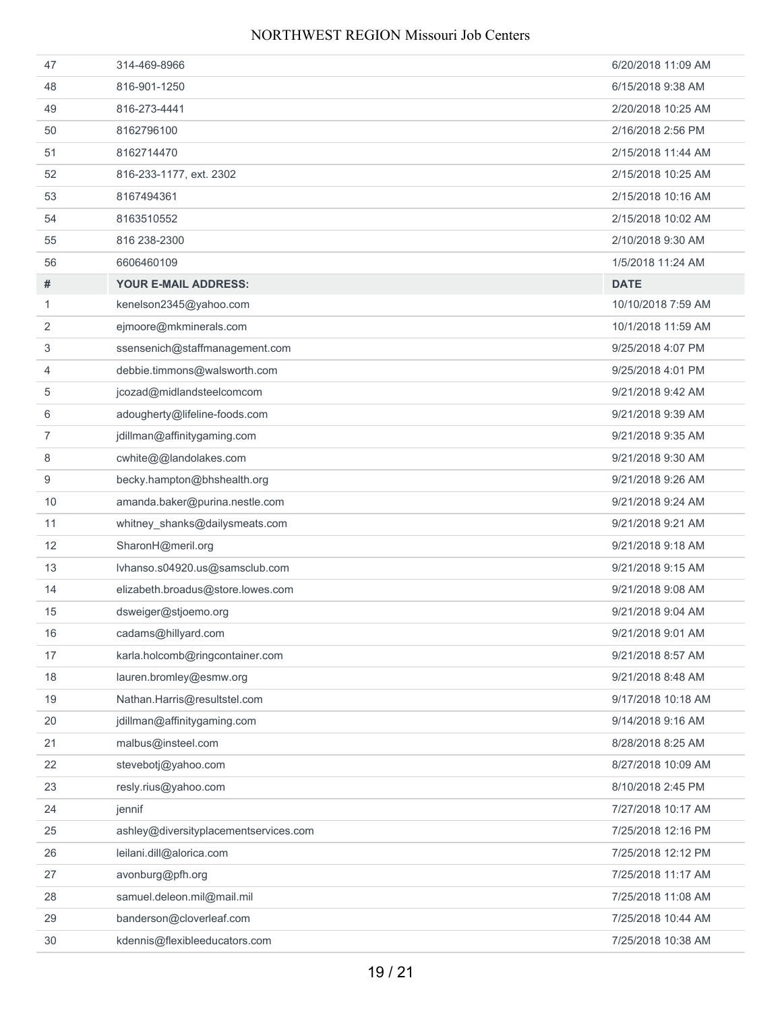| 47             | 314-469-8966                          | 6/20/2018 11:09 AM |
|----------------|---------------------------------------|--------------------|
| 48             | 816-901-1250                          | 6/15/2018 9:38 AM  |
| 49             | 816-273-4441                          | 2/20/2018 10:25 AM |
| 50             | 8162796100                            | 2/16/2018 2:56 PM  |
| 51             | 8162714470                            | 2/15/2018 11:44 AM |
| 52             | 816-233-1177, ext. 2302               | 2/15/2018 10:25 AM |
| 53             | 8167494361                            | 2/15/2018 10:16 AM |
| 54             | 8163510552                            | 2/15/2018 10:02 AM |
| 55             | 816 238-2300                          | 2/10/2018 9:30 AM  |
| 56             | 6606460109                            | 1/5/2018 11:24 AM  |
| #              | YOUR E-MAIL ADDRESS:                  | <b>DATE</b>        |
| 1              | kenelson2345@yahoo.com                | 10/10/2018 7:59 AM |
| 2              | ejmoore@mkminerals.com                | 10/1/2018 11:59 AM |
| 3              | ssensenich@staffmanagement.com        | 9/25/2018 4:07 PM  |
| 4              | debbie.timmons@walsworth.com          | 9/25/2018 4:01 PM  |
| 5              | jcozad@midlandsteelcomcom             | 9/21/2018 9:42 AM  |
| 6              | adougherty@lifeline-foods.com         | 9/21/2018 9:39 AM  |
| $\overline{7}$ | jdillman@affinitygaming.com           | 9/21/2018 9:35 AM  |
| 8              | cwhite@@landolakes.com                | 9/21/2018 9:30 AM  |
| 9              | becky.hampton@bhshealth.org           | 9/21/2018 9:26 AM  |
| 10             | amanda.baker@purina.nestle.com        | 9/21/2018 9:24 AM  |
| 11             | whitney_shanks@dailysmeats.com        | 9/21/2018 9:21 AM  |
| 12             | SharonH@meril.org                     | 9/21/2018 9:18 AM  |
| 13             | lvhanso.s04920.us@samsclub.com        | 9/21/2018 9:15 AM  |
| 14             | elizabeth.broadus@store.lowes.com     | 9/21/2018 9:08 AM  |
| 15             | dsweiger@stjoemo.org                  | 9/21/2018 9:04 AM  |
| 16             | cadams@hillyard.com                   | 9/21/2018 9:01 AM  |
| 17             | karla.holcomb@ringcontainer.com       | 9/21/2018 8:57 AM  |
| 18             | lauren.bromley@esmw.org               | 9/21/2018 8:48 AM  |
| 19             | Nathan.Harris@resultstel.com          | 9/17/2018 10:18 AM |
| 20             | jdillman@affinitygaming.com           | 9/14/2018 9:16 AM  |
| 21             | malbus@insteel.com                    | 8/28/2018 8:25 AM  |
| 22             | stevebotj@yahoo.com                   | 8/27/2018 10:09 AM |
| 23             | resly.rius@yahoo.com                  | 8/10/2018 2:45 PM  |
| 24             | jennif                                | 7/27/2018 10:17 AM |
| 25             | ashley@diversityplacementservices.com | 7/25/2018 12:16 PM |
| 26             | leilani.dill@alorica.com              | 7/25/2018 12:12 PM |
| 27             | avonburg@pfh.org                      | 7/25/2018 11:17 AM |
| 28             | samuel.deleon.mil@mail.mil            | 7/25/2018 11:08 AM |
| 29             | banderson@cloverleaf.com              | 7/25/2018 10:44 AM |
| 30             | kdennis@flexibleeducators.com         | 7/25/2018 10:38 AM |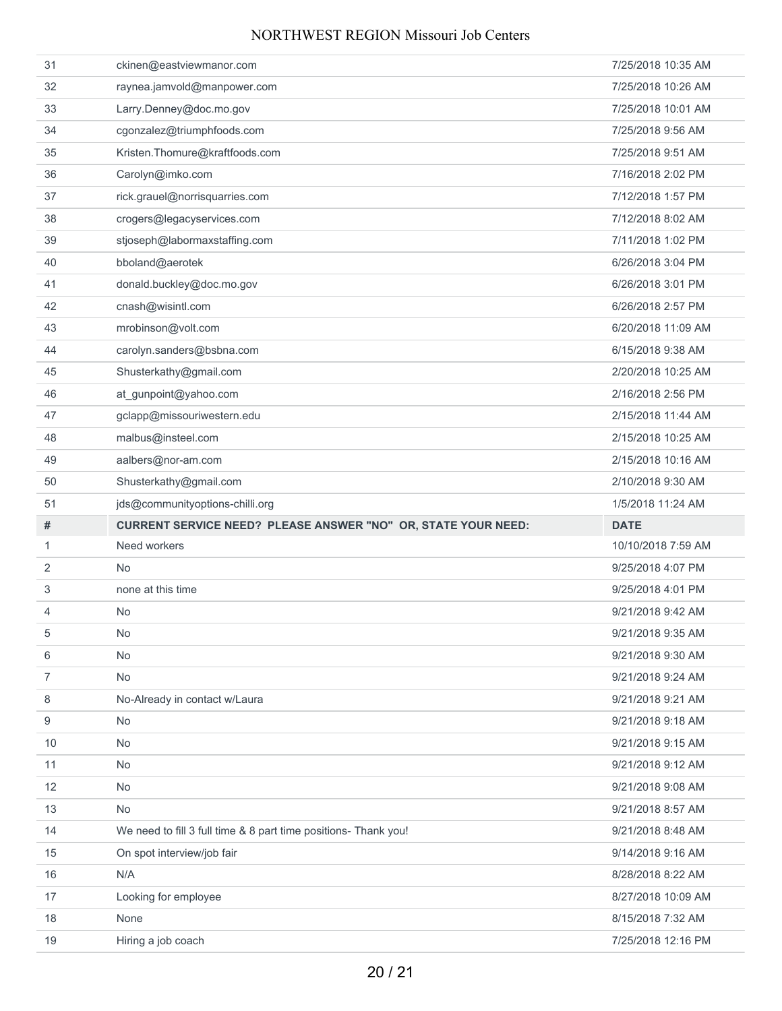| 31             | ckinen@eastviewmanor.com                                             | 7/25/2018 10:35 AM |
|----------------|----------------------------------------------------------------------|--------------------|
| 32             | raynea.jamvold@manpower.com                                          | 7/25/2018 10:26 AM |
| 33             | Larry.Denney@doc.mo.gov                                              | 7/25/2018 10:01 AM |
| 34             | cgonzalez@triumphfoods.com                                           | 7/25/2018 9:56 AM  |
| 35             | Kristen.Thomure@kraftfoods.com                                       | 7/25/2018 9:51 AM  |
| 36             | Carolyn@imko.com                                                     | 7/16/2018 2:02 PM  |
| 37             | rick.grauel@norrisquarries.com                                       | 7/12/2018 1:57 PM  |
| 38             | crogers@legacyservices.com                                           | 7/12/2018 8:02 AM  |
| 39             | stjoseph@labormaxstaffing.com                                        | 7/11/2018 1:02 PM  |
| 40             | bboland@aerotek                                                      | 6/26/2018 3:04 PM  |
| 41             | donald.buckley@doc.mo.gov                                            | 6/26/2018 3:01 PM  |
| 42             | cnash@wisintl.com                                                    | 6/26/2018 2:57 PM  |
| 43             | mrobinson@volt.com                                                   | 6/20/2018 11:09 AM |
| 44             | carolyn.sanders@bsbna.com                                            | 6/15/2018 9:38 AM  |
| 45             | Shusterkathy@gmail.com                                               | 2/20/2018 10:25 AM |
| 46             | at_gunpoint@yahoo.com                                                | 2/16/2018 2:56 PM  |
| 47             | gclapp@missouriwestern.edu                                           | 2/15/2018 11:44 AM |
| 48             | malbus@insteel.com                                                   | 2/15/2018 10:25 AM |
| 49             | aalbers@nor-am.com                                                   | 2/15/2018 10:16 AM |
| 50             | Shusterkathy@gmail.com                                               | 2/10/2018 9:30 AM  |
| 51             | jds@communityoptions-chilli.org                                      | 1/5/2018 11:24 AM  |
| #              | <b>CURRENT SERVICE NEED? PLEASE ANSWER "NO" OR, STATE YOUR NEED:</b> | <b>DATE</b>        |
| 1              | Need workers                                                         | 10/10/2018 7:59 AM |
|                |                                                                      |                    |
| 2              | <b>No</b>                                                            | 9/25/2018 4:07 PM  |
| 3              | none at this time                                                    | 9/25/2018 4:01 PM  |
| 4              | <b>No</b>                                                            | 9/21/2018 9:42 AM  |
| 5              | No                                                                   | 9/21/2018 9:35 AM  |
| 6              | No                                                                   | 9/21/2018 9:30 AM  |
| $\overline{7}$ | No                                                                   | 9/21/2018 9:24 AM  |
| 8              | No-Already in contact w/Laura                                        | 9/21/2018 9:21 AM  |
| 9              | No                                                                   | 9/21/2018 9:18 AM  |
| 10             | <b>No</b>                                                            | 9/21/2018 9:15 AM  |
| 11             | <b>No</b>                                                            | 9/21/2018 9:12 AM  |
| 12             | No                                                                   | 9/21/2018 9:08 AM  |
| 13             | No                                                                   | 9/21/2018 8:57 AM  |
| 14             | We need to fill 3 full time & 8 part time positions- Thank you!      | 9/21/2018 8:48 AM  |
| 15             | On spot interview/job fair                                           | 9/14/2018 9:16 AM  |
| 16             | N/A                                                                  | 8/28/2018 8:22 AM  |
| 17             | Looking for employee                                                 | 8/27/2018 10:09 AM |
| 18             | None                                                                 | 8/15/2018 7:32 AM  |
| 19             | Hiring a job coach                                                   | 7/25/2018 12:16 PM |